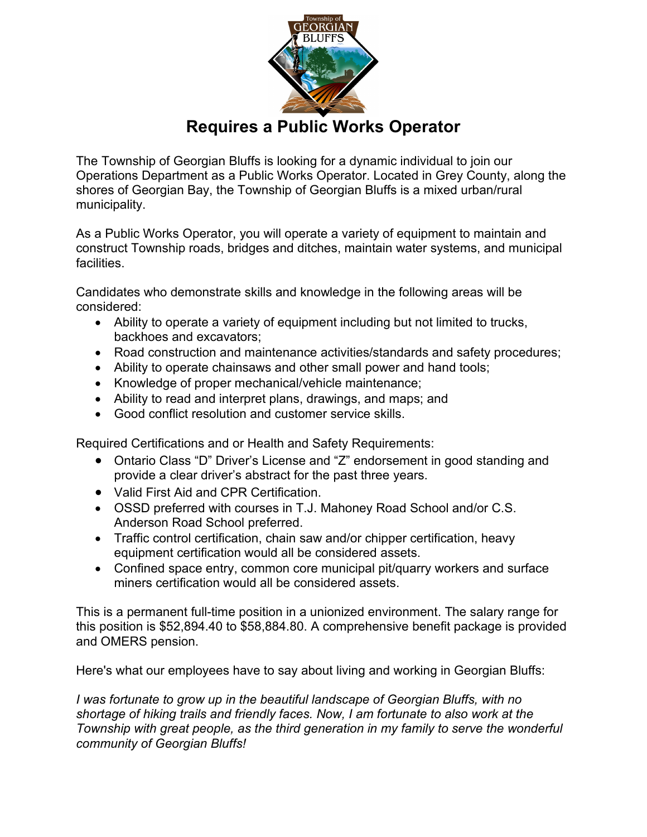

## **Requires a Public Works Operator**

The Township of Georgian Bluffs is looking for a dynamic individual to join our Operations Department as a Public Works Operator. Located in Grey County, along the shores of Georgian Bay, the Township of Georgian Bluffs is a mixed urban/rural municipality.

As a Public Works Operator, you will operate a variety of equipment to maintain and construct Township roads, bridges and ditches, maintain water systems, and municipal facilities.

Candidates who demonstrate skills and knowledge in the following areas will be considered:

- Ability to operate a variety of equipment including but not limited to trucks, backhoes and excavators;
- Road construction and maintenance activities/standards and safety procedures;
- Ability to operate chainsaws and other small power and hand tools;
- Knowledge of proper mechanical/vehicle maintenance;
- Ability to read and interpret plans, drawings, and maps; and
- Good conflict resolution and customer service skills.

Required Certifications and or Health and Safety Requirements:

- Ontario Class "D" Driver's License and "Z" endorsement in good standing and provide a clear driver's abstract for the past three years.
- Valid First Aid and CPR Certification.
- OSSD preferred with courses in T.J. Mahoney Road School and/or C.S. Anderson Road School preferred.
- Traffic control certification, chain saw and/or chipper certification, heavy equipment certification would all be considered assets.
- Confined space entry, common core municipal pit/quarry workers and surface miners certification would all be considered assets.

This is a permanent full-time position in a unionized environment. The salary range for this position is \$52,894.40 to \$58,884.80. A comprehensive benefit package is provided and OMERS pension.

Here's what our employees have to say about living and working in Georgian Bluffs:

*I was fortunate to grow up in the beautiful landscape of Georgian Bluffs, with no shortage of hiking trails and friendly faces. Now, I am fortunate to also work at the Township with great people, as the third generation in my family to serve the wonderful community of Georgian Bluffs!*